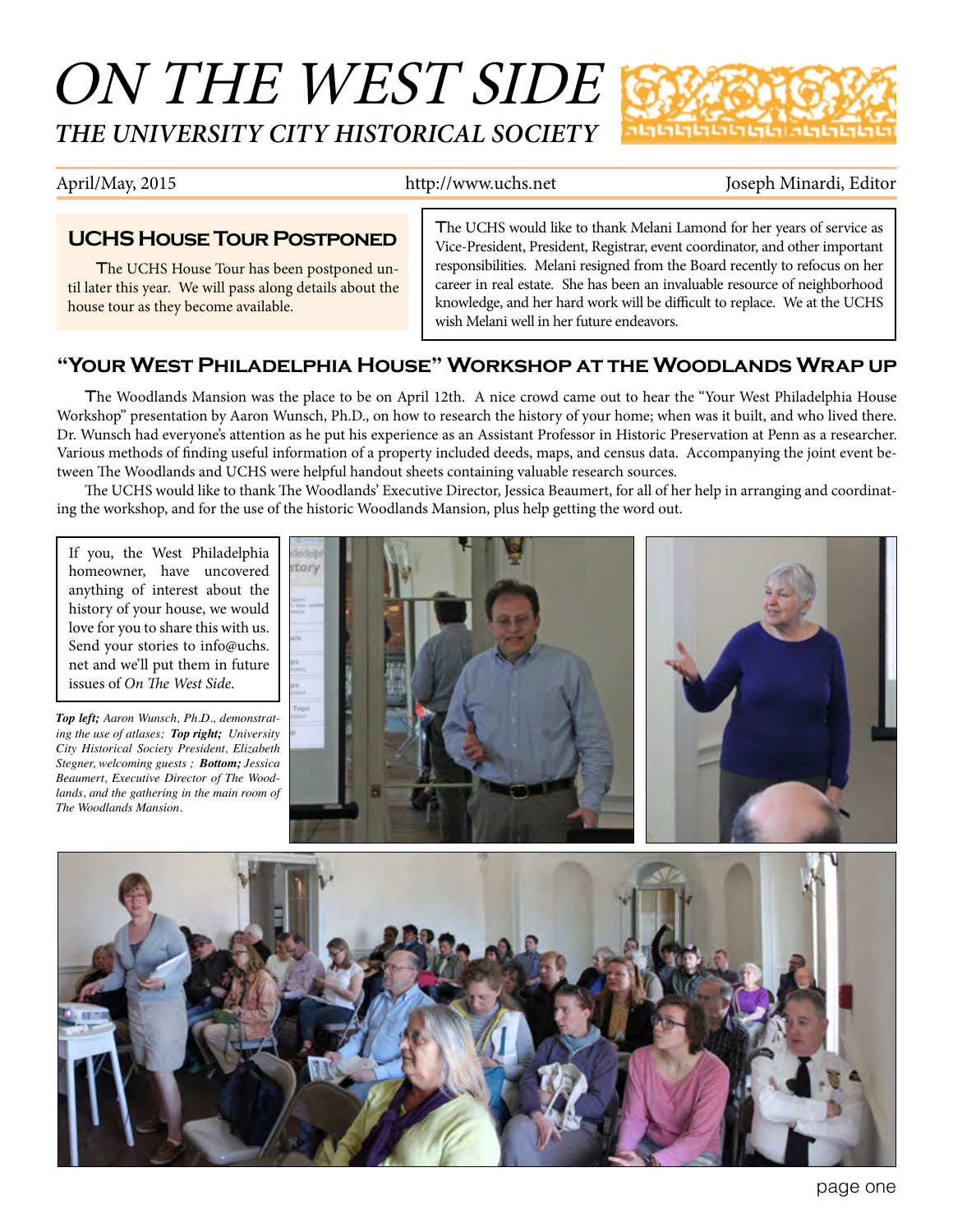# ON THE WEST SIDE *THE UNIVERSITY CITY HISTORICAL SOCIETY*



April/May, 2015 http://www.uchs.net Joseph Minardi, Editor

### **UCHS House Tour Postponed**

The UCHS House Tour has been postponed until later this year. We will pass along details about the house tour as they become available.

The UCHS would like to thank Melani Lamond for her years of service as Vice-President, President, Registrar, event coordinator, and other important responsibilities. Melani resigned from the Board recently to refocus on her career in real estate. She has been an invaluable resource of neighborhood knowledge, and her hard work will be difficult to replace. We at the UCHS wish Melani well in her future endeavors.

### **"Your West Philadelphia House" Workshop at the Woodlands Wrap up**

The Woodlands Mansion was the place to be on April 12th. A nice crowd came out to hear the "Your West Philadelphia House Workshop" presentation by Aaron Wunsch, Ph.D., on how to research the history of your home; when was it built, and who lived there. Dr. Wunsch had everyone's attention as he put his experience as an Assistant Professor in Historic Preservation at Penn as a researcher. Various methods of finding useful information of a property included deeds, maps, and census data. Accompanying the joint event between The Woodlands and UCHS were helpful handout sheets containing valuable research sources.

The UCHS would like to thank The Woodlands' Executive Director, Jessica Beaumert, for all of her help in arranging and coordinating the workshop, and for the use of the historic Woodlands Mansion, plus help getting the word out.

If you, the West Philadelphia homeowner, have uncovered anything of interest about the history of your house, we would love for you to share this with us. Send your stories to info@uchs. net and we'll put them in future issues of *On The West Side*.

*Top left; Aaron Wunsch, Ph.D., demonstrating the use of atlases; Top right; University City Historical Society President, Elizabeth Stegner, welcoming guests ; Bottom; Jessica Beaumert, Executive Director of The Woodlands, and the gathering in the main room of The Woodlands Mansion.*





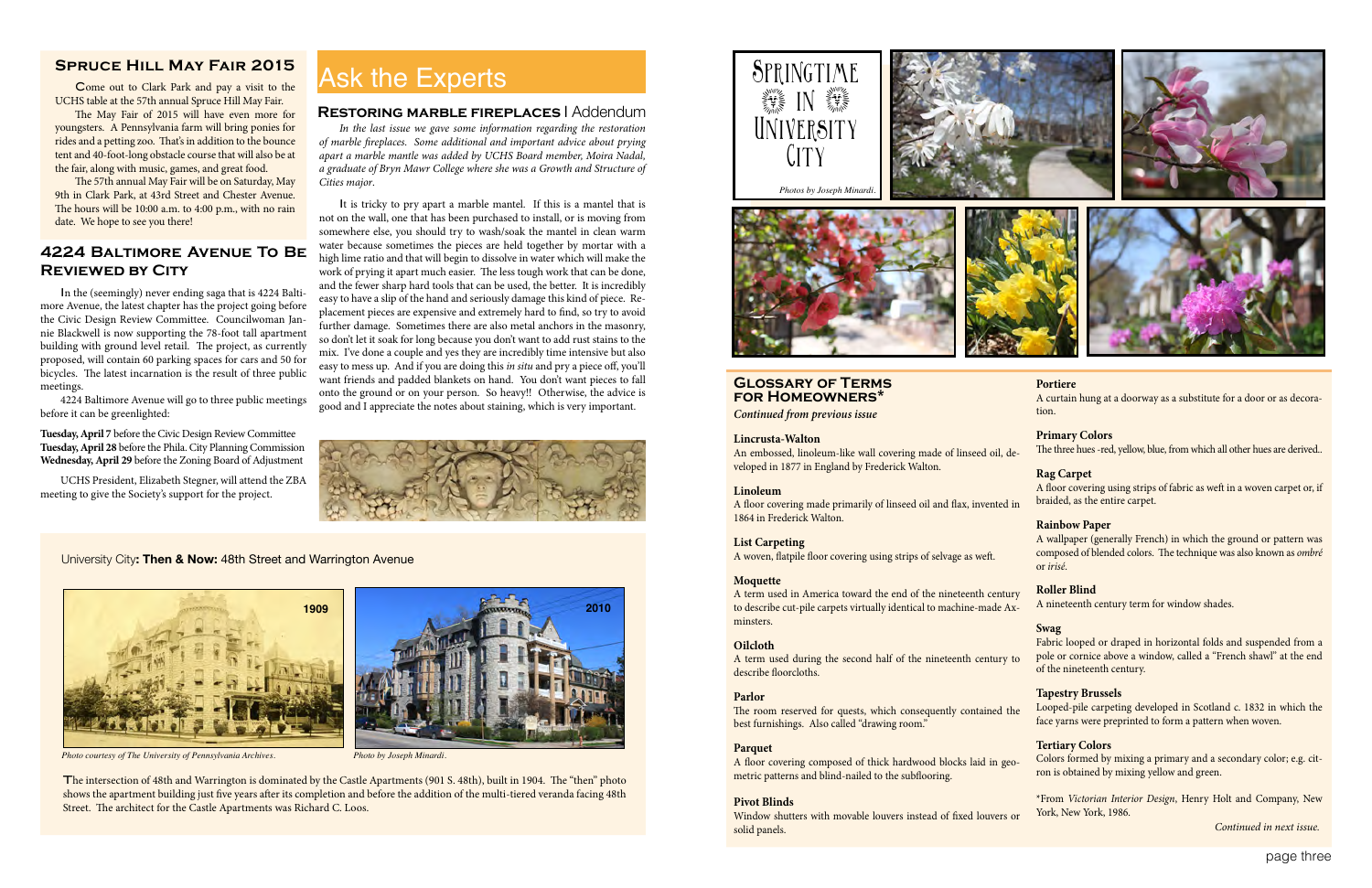page three

## **4224 Baltimore Avenue To Be Reviewed by City**

In the (seemingly) never ending saga that is 4224 Baltimore Avenue, the latest chapter has the project going before the Civic Design Review Committee. Councilwoman Jannie Blackwell is now supporting the 78-foot tall apartment building with ground level retail. The project, as currently proposed, will contain 60 parking spaces for cars and 50 for bicycles. The latest incarnation is the result of three public meetings.

4224 Baltimore Avenue will go to three public meetings before it can be greenlighted:

**Tuesday, April 7** before the Civic Design Review Committee **Tuesday, April 28** before the Phila. City Planning Commission **Wednesday, April 29** before the Zoning Board of Adjustment

UCHS President, Elizabeth Stegner, will attend the ZBA meeting to give the Society's support for the project.

#### **Glossary of Terms for Homeowners\***

*Continued from previous issue*

#### **Lincrusta-Walton**

#### **Linoleum**

A floor covering made primarily of linseed oil and flax, invented in 1864 in Frederick Walton.

#### **List Carpeting**

A woven, flatpile floor covering using strips of selvage as weft.

#### **Moquette**

An embossed, linoleum-like wall covering made of linseed oil, developed in 1877 in England by Frederick Walton. The three hues -red, yellow, blue, from which all other hues are derived..

#### **Parlor**

#### **Parquet**

A floor covering composed of thick hardwood blocks laid in geometric patterns and blind-nailed to the subflooring.

#### **Pivot Blinds**

Window shutters with movable louvers instead of fixed louvers or solid panels.

A term used in America toward the end of the nineteenth century to describe cut-pile carpets virtually identical to machine-made Axminsters. A nineteenth century term for window shades.

#### **Portiere**

A curtain hung at a doorway as a substitute for a door or as decoration.

#### **Primary Colors**

**Oilcloth** A term used during the second half of the nineteenth century to describe floorcloths. Fabric looped or draped in horizontal folds and suspended from a pole or cornice above a window, called a "French shawl" at the end of the nineteenth century.

#### **Rag Carpet**

A floor covering using strips of fabric as weft in a woven carpet or, if braided, as the entire carpet.

The room reserved for quests, which consequently contained the best furnishings. Also called "drawing room." Looped-pile carpeting developed in Scotland c. 1832 in which the face yarns were preprinted to form a pattern when woven.

#### **Rainbow Paper**

A wallpaper (generally French) in which the ground or pattern was composed of blended colors. The technique was also known as *ombré* or *irisé*.

#### **Roller Blind**

#### **Swag**

#### **Tapestry Brussels**

#### **Tertiary Colors**

Colors formed by mixing a primary and a secondary color; e.g. citron is obtained by mixing yellow and green.

\*From *Victorian Interior Design*, Henry Holt and Company, New York, New York, 1986.

*Continued in next issue.*

*In the last issue we gave some information regarding the restoration of marble fireplaces. Some additional and important advice about prying apart a marble mantle was added by UCHS Board member, Moira Nadal, a graduate of Bryn Mawr College where she was a Growth and Structure of Cities major*.

It is tricky to pry apart a marble mantel. If this is a mantel that is not on the wall, one that has been purchased to install, or is moving from somewhere else, you should try to wash/soak the mantel in clean warm water because sometimes the pieces are held together by mortar with a high lime ratio and that will begin to dissolve in water which will make the work of prying it apart much easier. The less tough work that can be done, and the fewer sharp hard tools that can be used, the better. It is incredibly easy to have a slip of the hand and seriously damage this kind of piece. Replacement pieces are expensive and extremely hard to find, so try to avoid further damage. Sometimes there are also metal anchors in the masonry, so don't let it soak for long because you don't want to add rust stains to the mix. I've done a couple and yes they are incredibly time intensive but also easy to mess up. And if you are doing this *in situ* and pry a piece off, you'll want friends and padded blankets on hand. You don't want pieces to fall onto the ground or on your person. So heavy!! Otherwise, the advice is good and I appreciate the notes about staining, which is very important.



#### **Restoring marble fireplaces** l Addendum







*Photo courtesy of The University of Pennsylvania Archives. Photo by Joseph Minardi.*

The intersection of 48th and Warrington is dominated by the Castle Apartments (901 S. 48th), built in 1904. The "then" photo shows the apartment building just five years after its completion and before the addition of the multi-tiered veranda facing 48th Street. The architect for the Castle Apartments was Richard C. Loos.

#### University City**: Then & Now:** 48th Street and Warrington Avenue

**2010**

### **Spruce Hill May Fair 2015**

Come out to Clark Park and pay a visit to the UCHS table at the 57th annual Spruce Hill May Fair.

The May Fair of 2015 will have even more for youngsters. A Pennsylvania farm will bring ponies for rides and a petting zoo. That's in addition to the bounce tent and 40-foot-long obstacle course that will also be at the fair, along with music, games, and great food.

The 57th annual May Fair will be on Saturday, May 9th in Clark Park, at 43rd Street and Chester Avenue. The hours will be 10:00 a.m. to 4:00 p.m., with no rain date. We hope to see you there!